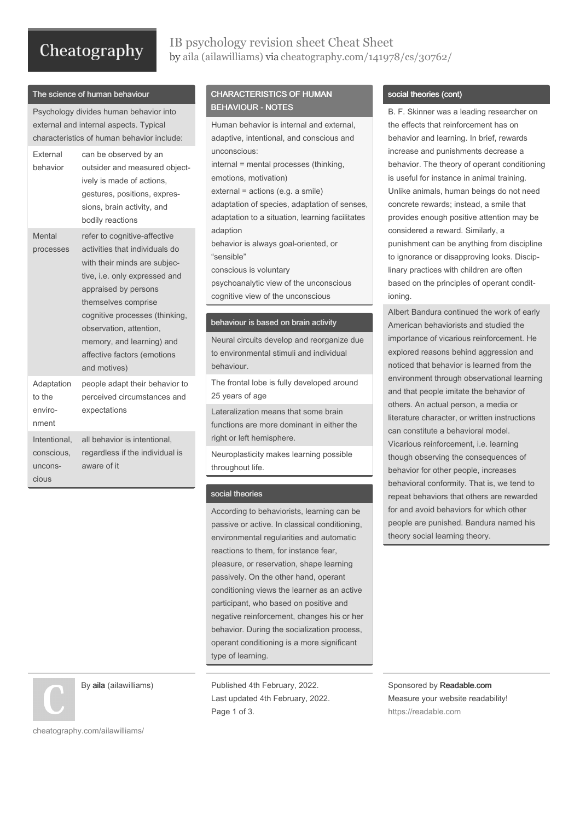# Cheatography

## IB psychology revision sheet Cheat Sheet by aila [\(ailawilliams\)](http://www.cheatography.com/ailawilliams/) via [cheatography.com/141978/cs/30762/](http://www.cheatography.com/ailawilliams/cheat-sheets/ib-psychology-revision-sheet)

#### The science of human behaviour

Psychology divides human behavior into external and internal aspects. Typical characteristics of human behavior include:

| External<br>behavior                           | can be observed by an<br>outsider and measured object-<br>ively is made of actions,<br>gestures, positions, expres-<br>sions, brain activity, and<br>bodily reactions                                                                                                                                                   |
|------------------------------------------------|-------------------------------------------------------------------------------------------------------------------------------------------------------------------------------------------------------------------------------------------------------------------------------------------------------------------------|
| Mental<br>processes                            | refer to cognitive-affective<br>activities that individuals do<br>with their minds are subjec-<br>tive, i.e. only expressed and<br>appraised by persons<br>themselves comprise<br>cognitive processes (thinking,<br>observation, attention,<br>memory, and learning) and<br>affective factors (emotions<br>and motives) |
| Adaptation<br>to the<br>enviro-<br>nment       | people adapt their behavior to<br>perceived circumstances and<br>expectations                                                                                                                                                                                                                                           |
| Intentional,<br>conscious,<br>uncons-<br>cious | all behavior is intentional,<br>regardless if the individual is<br>aware of it                                                                                                                                                                                                                                          |

By aila (ailawilliams)

## CHARACTERISTICS OF HUMAN BEHAVIOUR - NOTES

Human behavior is internal and external, adaptive, intentional, and conscious and unconscious: internal = mental processes (thinking, emotions, motivation) external = actions (e.g. a smile) adaptation of species, adaptation of senses, adaptation to a situation, learning facilitates adaption behavior is always goal-oriented, or "sensible" conscious is voluntary psychoanalytic view of the unconscious cognitive view of the unconscious

#### behaviour is based on brain activity

Neural circuits develop and reorganize due to environmental stimuli and individual behaviour.

The frontal lobe is fully developed around 25 years of age

Lateralization means that some brain functions are more dominant in either the right or left hemisphere.

Neuroplasticity makes learning possible throughout life.

### social theories

According to behaviorists, learning can be passive or active. In classical conditioning, environmental regularities and automatic reactions to them, for instance fear, pleasure, or reservation, shape learning passively. On the other hand, operant conditioning views the learner as an active participant, who based on positive and negative reinforcement, changes his or her behavior. During the socialization process, operant conditioning is a more significant type of learning.

Published 4th February, 2022. Last updated 4th February, 2022. Page 1 of 3.

#### social theories (cont)

B. F. Skinner was a leading researcher on the effects that reinforcement has on behavior and learning. In brief, rewards increase and punishments decrease a behavior. The theory of operant conditioning is useful for instance in animal training. Unlike animals, human beings do not need concrete rewards; instead, a smile that provides enough positive attention may be considered a reward. Similarly, a punishment can be anything from discipline to ignorance or disapproving looks. Discip‐ linary practices with children are often based on the principles of operant condit‐ ioning.

Albert Bandura continued the work of early American behaviorists and studied the importance of vicarious reinforcement. He explored reasons behind aggression and noticed that behavior is learned from the environment through observational learning and that people imitate the behavior of others. An actual person, a media or literature character, or written instructions can constitute a behavioral model. Vicarious reinforcement, i.e. learning though observing the consequences of behavior for other people, increases behavioral conformity. That is, we tend to repeat behaviors that others are rewarded for and avoid behaviors for which other people are punished. Bandura named his theory social learning theory.

Sponsored by Readable.com Measure your website readability! <https://readable.com>

[cheatography.com/ailawilliams/](http://www.cheatography.com/ailawilliams/)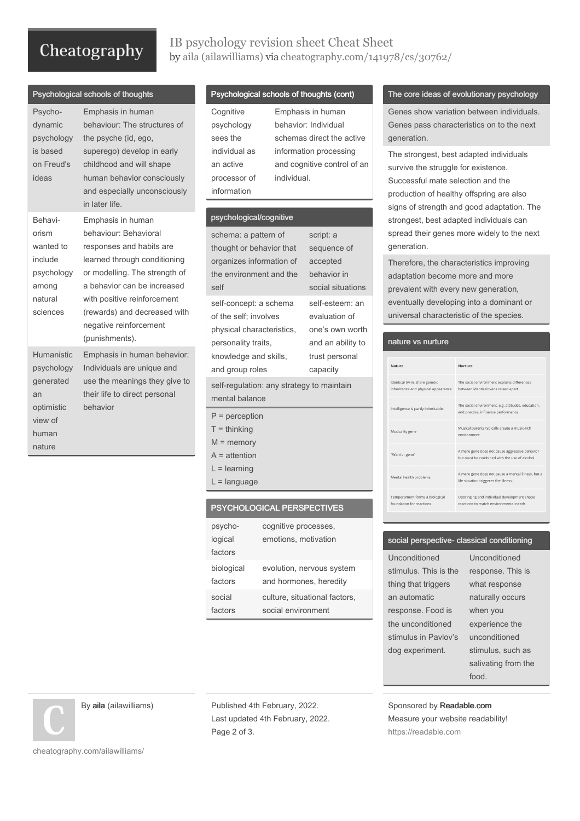# Cheatography

 $R$  chological schools of thoughts

## IB psychology revision sheet Cheat Sheet by aila [\(ailawilliams\)](http://www.cheatography.com/ailawilliams/) via [cheatography.com/141978/cs/30762/](http://www.cheatography.com/ailawilliams/cheat-sheets/ib-psychology-revision-sheet)

| ,,                                                                                      |                                                                                                                                                                                                                                                                                   |
|-----------------------------------------------------------------------------------------|-----------------------------------------------------------------------------------------------------------------------------------------------------------------------------------------------------------------------------------------------------------------------------------|
| Psycho-<br>dynamic<br>psychology<br>is based<br>on Freud's<br>ideas                     | Emphasis in human<br>behaviour: The structures of<br>the psyche (id, ego,<br>superego) develop in early<br>childhood and will shape<br>human behavior consciously<br>and especially unconsciously<br>in later life.                                                               |
| Behavi-<br>orism<br>wanted to<br>include<br>psychology<br>among<br>natural<br>sciences  | Emphasis in human<br>behaviour: Behavioral<br>responses and habits are<br>learned through conditioning<br>or modelling. The strength of<br>a behavior can be increased<br>with positive reinforcement<br>(rewards) and decreased with<br>negative reinforcement<br>(punishments). |
| Humanistic<br>psychology<br>generated<br>an<br>optimistic<br>view of<br>human<br>nature | Emphasis in human behavior:<br>Individuals are unique and<br>use the meanings they give to<br>their life to direct personal<br>behavior                                                                                                                                           |

## Psychological schools of thoughts (cont)

| Cognitive     | Emphasis in human           |
|---------------|-----------------------------|
| psychology    | behavior: Individual        |
| sees the      | schemas direct the active   |
| individual as | information processing      |
| an active     | and cognitive control of an |
| processor of  | individual.                 |
| information   |                             |

#### psychological/cognitive

infor

| schema: a pattern of                      | script: a         |
|-------------------------------------------|-------------------|
| thought or behavior that                  | sequence of       |
| organizes information of                  | accepted          |
| the environment and the                   | behavior in       |
| self                                      | social situations |
| self-concept: a schema                    | self-esteem: an   |
| of the self; involves                     | evaluation of     |
| physical characteristics,                 | one's own worth   |
| personality traits,                       | and an ability to |
| knowledge and skills,                     | trust personal    |
| and group roles                           | capacity          |
| self-regulation: any strategy to maintain |                   |
| mental balance                            |                   |
| $P =$ perception                          |                   |
| $T =$ thinking                            |                   |
| $M =$ memory                              |                   |
| $A =$ attention                           |                   |
| $L =$ learning                            |                   |
| $L =$ language                            |                   |
|                                           |                   |

## PSYCHOLOGICAL PERSPECTIVES

| cognitive processes.          |
|-------------------------------|
| emotions, motivation          |
|                               |
| evolution, nervous system     |
| and hormones, heredity        |
| culture, situational factors, |
| social environment            |
|                               |

#### The core ideas of evolutionary psychology

Genes show variation between individuals. Genes pass characteristics on to the next generation.

The strongest, best adapted individuals survive the struggle for existence. Successful mate selection and the production of healthy offspring are also signs of strength and good adaptation. The strongest, best adapted individuals can spread their genes more widely to the next generation.

Therefore, the characteristics improving adaptation become more and more prevalent with every new generation, eventually developing into a dominant or universal characteristic of the species.

### nature vs nurture

| Nature                                                                | Nurture                                                                                        |
|-----------------------------------------------------------------------|------------------------------------------------------------------------------------------------|
| Identical twins share genetic<br>inheritance and physical appearance. | The social environment explains differences<br>between identical twins raised apart.           |
| Intelligence is partly inheritable.                                   | The social environment, e.g. attitudes, education,<br>and practice, influence performance.     |
| Musicality gene                                                       | Musical parents typically create a music-rich<br>environment.                                  |
| "Warrior gene"                                                        | A mere gene does not cause aggressive behavior<br>but must be combined with the use of alcohol |
| Mental health problems                                                | A mere gene does not cause a mental illness, but a<br>life situation triggeres the illness.    |
| Temperament forms a biological<br>foundation for reactions.           | Upbringing and individual development shape<br>reactions to match environmental needs.         |

### social perspective- classical conditioning

Unconditioned stimulus. This is the thing that triggers an automatic response. Food is the unconditioned stimulus in Pavlov's dog experiment.

Unconditioned response. This is what response naturally occurs when you experience the unconditioned stimulus, such as salivating from the food.

Sponsored by Readable.com Measure your website readability! <https://readable.com>

By aila (ailawilliams)

Published 4th February, 2022. Last updated 4th February, 2022. Page 2 of 3.

[cheatography.com/ailawilliams/](http://www.cheatography.com/ailawilliams/)